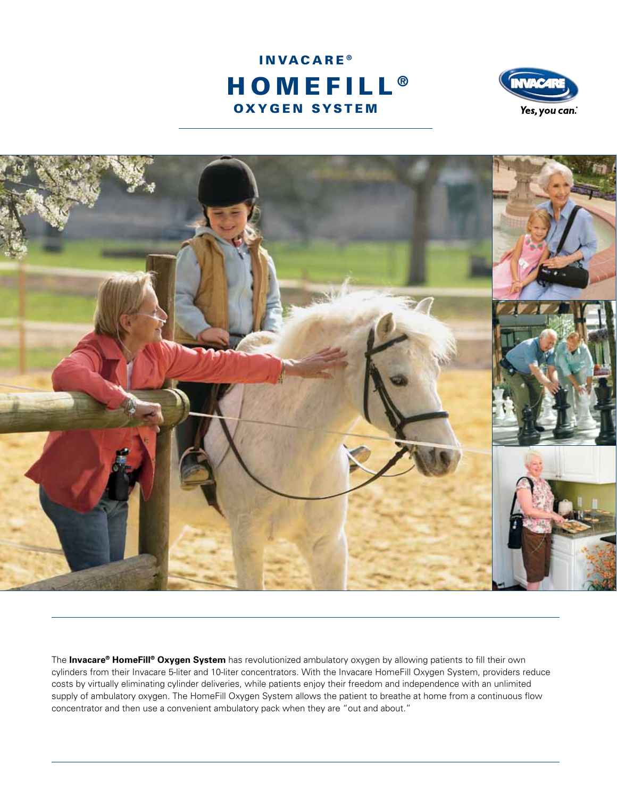





The **Invacare® HomeFill® Oxygen System** has revolutionized ambulatory oxygen by allowing patients to fill their own cylinders from their Invacare 5-liter and 10-liter concentrators. With the Invacare HomeFill Oxygen System, providers reduce costs by virtually eliminating cylinder deliveries, while patients enjoy their freedom and independence with an unlimited supply of ambulatory oxygen. The HomeFill Oxygen System allows the patient to breathe at home from a continuous flow concentrator and then use a convenient ambulatory pack when they are "out and about."